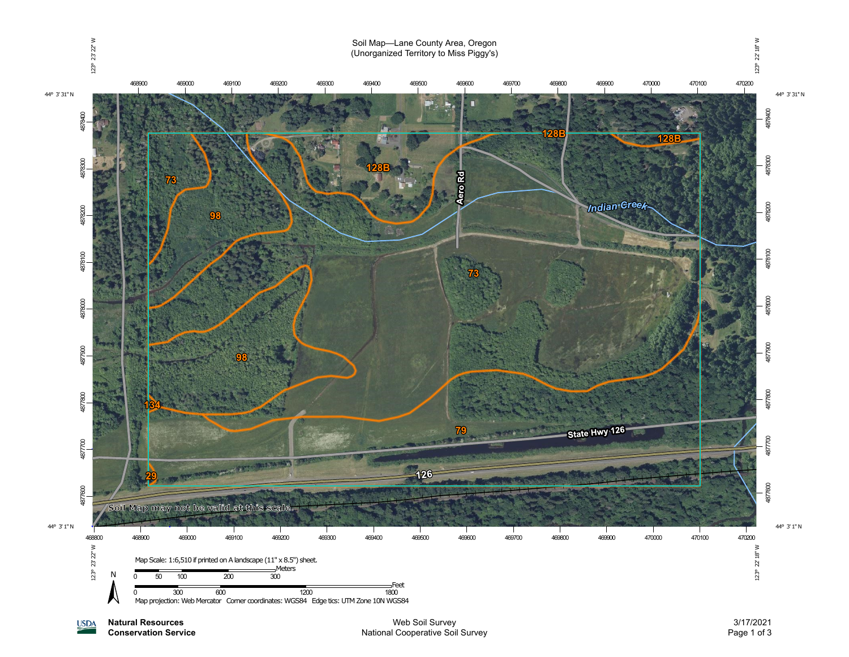

**Natural Resources USDA Conservation Service**

Web Soil Survey National Cooperative Soil Survey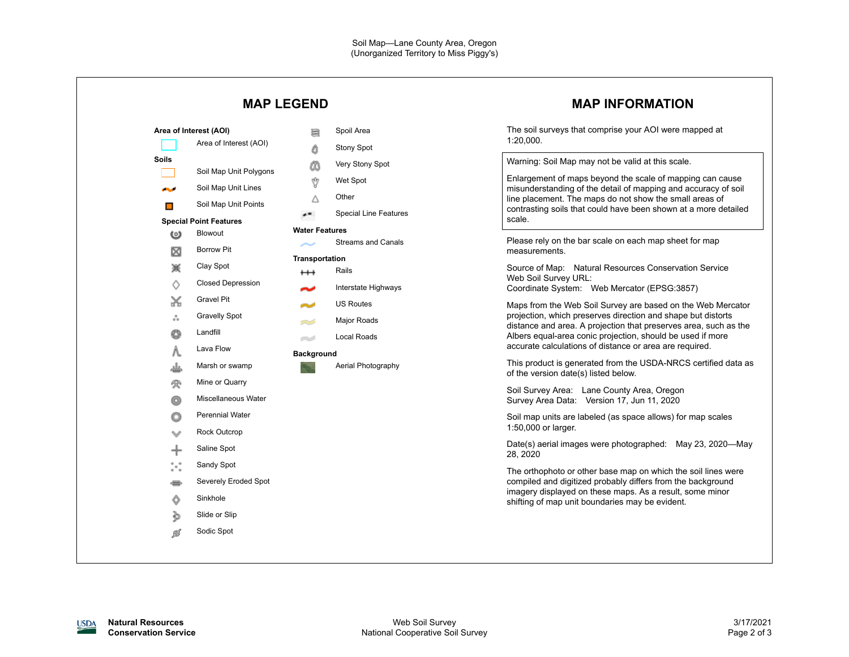|                                                                                                                                                                                                                                                                                                                                                                                                                                                                     | <b>MAP LEGEND</b>                                                                                                                                                                                                                    | <b>MAP INFORMATION</b>                                                                                                                                                                                                                                                                                                                                                                                                                                                                                                                                                                                                                                                                                                                                                                                                                                                                                                                                                                                                                                                                                                                                  |  |
|---------------------------------------------------------------------------------------------------------------------------------------------------------------------------------------------------------------------------------------------------------------------------------------------------------------------------------------------------------------------------------------------------------------------------------------------------------------------|--------------------------------------------------------------------------------------------------------------------------------------------------------------------------------------------------------------------------------------|---------------------------------------------------------------------------------------------------------------------------------------------------------------------------------------------------------------------------------------------------------------------------------------------------------------------------------------------------------------------------------------------------------------------------------------------------------------------------------------------------------------------------------------------------------------------------------------------------------------------------------------------------------------------------------------------------------------------------------------------------------------------------------------------------------------------------------------------------------------------------------------------------------------------------------------------------------------------------------------------------------------------------------------------------------------------------------------------------------------------------------------------------------|--|
| Area of Interest (AOI)<br>Area of Interest (AOI)<br><b>Soils</b><br>Soil Map Unit Polygons                                                                                                                                                                                                                                                                                                                                                                          | Spoil Area<br>暠<br>۵<br>Stony Spot<br>Very Stony Spot<br>Őδ                                                                                                                                                                          | The soil surveys that comprise your AOI were mapped at<br>1:20,000.<br>Warning: Soil Map may not be valid at this scale.                                                                                                                                                                                                                                                                                                                                                                                                                                                                                                                                                                                                                                                                                                                                                                                                                                                                                                                                                                                                                                |  |
| Soil Map Unit Lines<br>المتالين<br>Soil Map Unit Points<br>$\blacksquare$<br><b>Special Point Features</b>                                                                                                                                                                                                                                                                                                                                                          | Ŷ<br>Wet Spot<br>Other<br>Δ<br><b>Special Line Features</b><br>≁                                                                                                                                                                     | Enlargement of maps beyond the scale of mapping can cause<br>misunderstanding of the detail of mapping and accuracy of soil<br>line placement. The maps do not show the small areas of<br>contrasting soils that could have been shown at a more detailed<br>scale.                                                                                                                                                                                                                                                                                                                                                                                                                                                                                                                                                                                                                                                                                                                                                                                                                                                                                     |  |
| Blowout<br>ၑ<br><b>Borrow Pit</b><br>⊠<br>簽<br>Clay Spot<br><b>Closed Depression</b><br>♦<br><b>Gravel Pit</b><br>X<br><b>Gravelly Spot</b><br>៓<br>Landfill<br>O<br>Lava Flow<br>Λ.<br>Marsh or swamp<br>غلد<br>Mine or Quarry<br>受<br>Miscellaneous Water<br>O<br><b>Perennial Water</b><br>o<br><b>Rock Outcrop</b><br>w<br>Saline Spot<br>╬<br>$\int_a^b e_a^b$<br>Sandy Spot<br>Severely Eroded Spot<br>Sinkhole<br>Ô<br>Slide or Slip<br>Þ<br>Sodic Spot<br>Ø | <b>Water Features</b><br><b>Streams and Canals</b><br><b>Transportation</b><br>Rails<br>$^{\rm ++}$<br>Interstate Highways<br><b>US Routes</b><br>Major Roads<br>=<br>Local Roads<br>ez d<br><b>Background</b><br>Aerial Photography | Please rely on the bar scale on each map sheet for map<br>measurements.<br>Source of Map: Natural Resources Conservation Service<br>Web Soil Survey URL:<br>Coordinate System: Web Mercator (EPSG:3857)<br>Maps from the Web Soil Survey are based on the Web Mercator<br>projection, which preserves direction and shape but distorts<br>distance and area. A projection that preserves area, such as the<br>Albers equal-area conic projection, should be used if more<br>accurate calculations of distance or area are required.<br>This product is generated from the USDA-NRCS certified data as<br>of the version date(s) listed below.<br>Soil Survey Area: Lane County Area, Oregon<br>Survey Area Data: Version 17, Jun 11, 2020<br>Soil map units are labeled (as space allows) for map scales<br>1:50,000 or larger.<br>Date(s) aerial images were photographed: May 23, 2020-May<br>28, 2020<br>The orthophoto or other base map on which the soil lines were<br>compiled and digitized probably differs from the background<br>imagery displayed on these maps. As a result, some minor<br>shifting of map unit boundaries may be evident. |  |